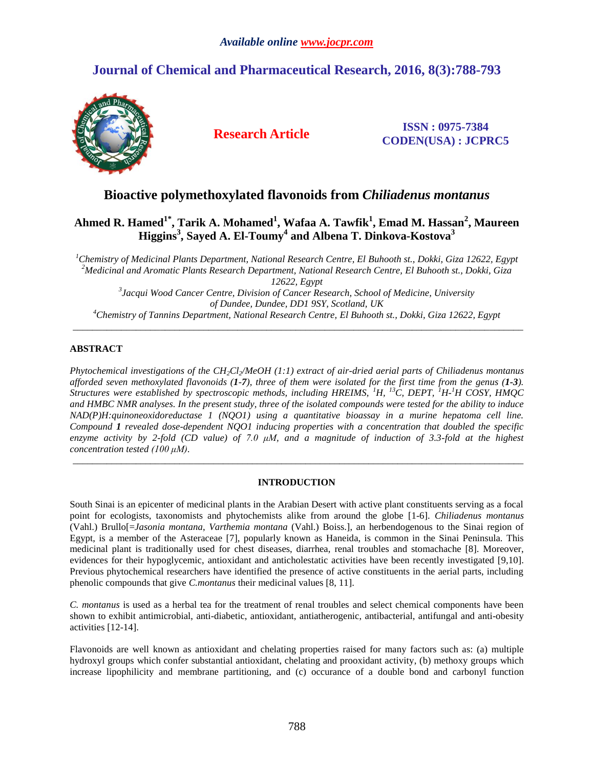## *Available online www.jocpr.com*

# **Journal of Chemical and Pharmaceutical Research, 2016, 8(3):788-793**



## **Research Article ISSN : 0975-7384 CODEN(USA) : JCPRC5**

## **Bioactive polymethoxylated flavonoids from** *[Chiliadenus](http://pubs.acs.org/doi/abs/10.1021/np030368k?prevSearch=%255Btitle%253A%2Bfrom%2Ban%2BEgyptian%255D%2BNOT%2B%255Batype%253A%2Bad%255D%2BNOT%2B%255Batype%253A%2Bacs-toc%255D&searchHistoryKey=) montanus*

## **Ahmed R. Hamed1\* , Tarik A. Mohamed<sup>1</sup> , Wafaa A. Tawfik<sup>1</sup> , Emad M. Hassan<sup>2</sup> , Maureen Higgins<sup>3</sup> , Sayed A. El-Toumy<sup>4</sup> and Albena T. Dinkova-Kostova<sup>3</sup>**

*Chemistry of Medicinal Plants Department, National Research Centre, El Buhooth st., Dokki, Giza 12622, Egypt Medicinal and Aromatic Plants Research Department, National Research Centre, El Buhooth st., Dokki, Giza 12622, Egypt Jacqui Wood Cancer Centre, Division of Cancer Research, School of Medicine, University of Dundee, Dundee, DD1 9SY, Scotland, UK Chemistry of Tannins Department, National Research Centre, El Buhooth st., Dokki, Giza 12622, Egypt*

\_\_\_\_\_\_\_\_\_\_\_\_\_\_\_\_\_\_\_\_\_\_\_\_\_\_\_\_\_\_\_\_\_\_\_\_\_\_\_\_\_\_\_\_\_\_\_\_\_\_\_\_\_\_\_\_\_\_\_\_\_\_\_\_\_\_\_\_\_\_\_\_\_\_\_\_\_\_\_\_\_\_\_\_\_\_\_\_\_\_\_\_\_

## **ABSTRACT**

*Phytochemical investigations of the CH2Cl2/MeOH (1:1) extract of air-dried aerial parts of Chiliadenus montanus afforded seven methoxylated flavonoids (1-7), three of them were isolated for the first time from the genus (1-3). Structures were established by spectroscopic methods, including HREIMS, <sup>1</sup>H, <sup>13</sup>C, DEPT, <sup>1</sup>H-<sup>1</sup>H COSY, HMQC and HMBC NMR analyses. In the present study, three of the isolated compounds were tested for the ability to induce NAD(P)H:quinoneoxidoreductase 1 (NQO1) using a quantitative bioassay in a murine hepatoma cell line. Compound 1 revealed dose-dependent NQO1 inducing properties with a concentration that doubled the specific enzyme activity by 2-fold (CD value) of 7.0 μM, and a magnitude of induction of 3.3-fold at the highest concentration tested (100 μM).*

## **INTRODUCTION**

\_\_\_\_\_\_\_\_\_\_\_\_\_\_\_\_\_\_\_\_\_\_\_\_\_\_\_\_\_\_\_\_\_\_\_\_\_\_\_\_\_\_\_\_\_\_\_\_\_\_\_\_\_\_\_\_\_\_\_\_\_\_\_\_\_\_\_\_\_\_\_\_\_\_\_\_\_\_\_\_\_\_\_\_\_\_\_\_\_\_\_\_\_

South Sinai is an epicenter of medicinal plants in the Arabian Desert with active plant constituents serving as a focal point for ecologists, taxonomists and phytochemists alike from around the globe [1-6]. *Chiliadenus montanus* (Vahl.) Brullo[=*Jasonia montana*, *Varthemia montana* (Vahl.) Boiss.], an herbendogenous to the Sinai region of Egypt, is a member of the Asteraceae [7], popularly known as Haneida, is common in the Sinai Peninsula. This medicinal plant is traditionally used for chest diseases, diarrhea, renal troubles and stomachache [8]. Moreover, evidences for their hypoglycemic, antioxidant and anticholestatic activities have been recently investigated [9,10]. Previous phytochemical researchers have identified the presence of active constituents in the aerial parts, including phenolic compounds that give *C.montanus* their medicinal values [8, 11].

*C. montanus* is used as a herbal tea for the treatment of renal troubles and select chemical components have been shown to exhibit antimicrobial, anti-diabetic, antioxidant, antiatherogenic, antibacterial, antifungal and anti-obesity activities [12-14].

Flavonoids are well known as antioxidant and chelating properties raised for many factors such as: (a) multiple hydroxyl groups which confer substantial antioxidant, chelating and prooxidant activity, (b) methoxy groups which increase lipophilicity and membrane partitioning, and (c) occurance of a double bond and carbonyl function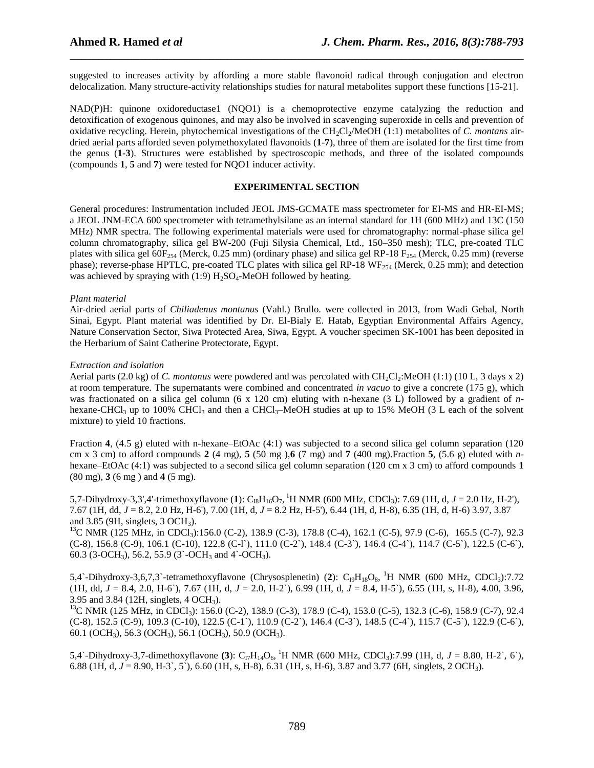suggested to increases activity by affording a more stable flavonoid radical through conjugation and electron delocalization. Many structure-activity relationships studies for natural metabolites support these functions [15-21].

\_\_\_\_\_\_\_\_\_\_\_\_\_\_\_\_\_\_\_\_\_\_\_\_\_\_\_\_\_\_\_\_\_\_\_\_\_\_\_\_\_\_\_\_\_\_\_\_\_\_\_\_\_\_\_\_\_\_\_\_\_\_\_\_\_\_\_\_\_\_\_\_\_\_\_\_\_\_

[NAD\(P\)H: quinone oxidoreductase1](javascript:popupOBO() (NQO1) is a chemoprotective enzyme catalyzing the reduction and detoxification of exogenous [quinones,](javascript:popupanno() and may also be involved in scavenging [superoxide](http://www.chemspider.com/Chemical-Structure.4514331.html) in cells and prevention of oxidative recycling. Herein, phytochemical investigations of the CH2Cl2/MeOH (1:1) metabolites of *C. montans* airdried aerial parts afforded seven polymethoxylated flavonoids (**1**-**7**), three of them are isolated for the first time from the genus (**1-3**). Structures were established by spectroscopic methods, and three of the isolated compounds (compounds **1**, **5** and **7**) were tested for NQO1 inducer activity.

### **EXPERIMENTAL SECTION**

General procedures: Instrumentation included JEOL JMS-GCMATE mass spectrometer for EI-MS and HR-EI-MS; a JEOL JNM-ECA 600 spectrometer with tetramethylsilane as an internal standard for 1H (600 MHz) and 13C (150 MHz) NMR spectra. The following experimental materials were used for chromatography: normal-phase silica gel column chromatography, silica gel BW-200 (Fuji Silysia Chemical, Ltd., 150–350 mesh); TLC, pre-coated TLC plates with silica gel  $60F_{254}$  (Merck, 0.25 mm) (ordinary phase) and silica gel RP-18  $F_{254}$  (Merck, 0.25 mm) (reverse phase); reverse-phase HPTLC, pre-coated TLC plates with silica gel RP-18 WF<sub>254</sub> (Merck, 0.25 mm); and detection was achieved by spraying with (1:9)  $H_2SO_4$ -MeOH followed by heating.

### *Plant material*

Air-dried aerial parts of *Chiliadenus montanus* (Vahl.) Brullo. were collected in 2013, from Wadi Gebal, North Sinai, Egypt. Plant material was identified by Dr. El-Bialy E. Hatab, Egyptian Environmental Affairs Agency, Nature Conservation Sector, Siwa Protected Area, Siwa, Egypt. A voucher specimen SK-1001 has been deposited in the Herbarium of Saint Catherine Protectorate, Egypt.

### *Extraction and isolation*

Aerial parts (2.0 kg) of *C. montanus* were powdered and was percolated with CH<sub>2</sub>Cl<sub>2</sub>:MeOH (1:1) (10 L, 3 days x 2) at room temperature. The supernatants were combined and concentrated *in vacuo* to give a concrete (175 g), which was fractionated on a silica gel column (6 x 120 cm) eluting with n-hexane (3 L) followed by a gradient of *n*hexane-CHCl<sub>3</sub> up to 100% CHCl<sub>3</sub> and then a CHCl<sub>3</sub>–MeOH studies at up to 15% MeOH (3 L each of the solvent mixture) to yield 10 fractions.

Fraction **4**, (4.5 g) eluted with n-hexane–EtOAc (4:1) was subjected to a second silica gel column separation (120) cm x 3 cm) to afford compounds **2** (4 mg), **5** (50 mg ),**6** (7 mg) and **7** (400 mg).Fraction **5**, (5.6 g) eluted with *n*hexane–EtOAc (4:1) was subjected to a second silica gel column separation (120 cm x 3 cm) to afford compounds **1** (80 mg), **3** (6 mg ) and **4** (5 mg).

5,7-Dihydroxy-3,3',4'-trimethoxyflavone (1):  $C_{18}H_{16}O_7$ , <sup>1</sup>H NMR (600 MHz, CDCl<sub>3</sub>): 7.69 (1H, d, *J* = 2.0 Hz, H-2'), 7.67 (1H, dd, *J* = 8.2, 2.0 Hz, H-6'), 7.00 (1H, d, *J* = 8.2 Hz, H-5'), 6.44 (1H, d, H-8), 6.35 (1H, d, H-6) 3.97, 3.87 and 3.85 (9H, singlets, 3 OCH3).

 $^{13}$ C NMR (125 MHz, in CDCl<sub>3</sub>):156.0 (C-2), 138.9 (C-3), 178.8 (C-4), 162.1 (C-5), 97.9 (C-6), 165.5 (C-7), 92.3 (C-8), 156.8 (C-9), 106.1 (C-10), 122.8 (C-l`), 111.0 (C-2`), 148.4 (C-3`), 146.4 (C-4`), 114.7 (C-5`), 122.5 (C-6`), 60.3 (3-OCH<sub>3</sub>), 56.2, 55.9 (3`-OCH<sub>3</sub> and 4`-OCH<sub>3</sub>).

5,4`-Dihydroxy-3,6,7,3`-tetramethoxyflavone (Chrysosplenetin) (2): C<sub>I9</sub>H<sub>18</sub>O<sub>8</sub>, <sup>1</sup>H NMR (600 MHz, CDCl<sub>3</sub>):7.72 (1H, dd, *J* = 8.4, 2.0, H-6`), 7.67 (1H, d, *J* = 2.0, H-2`), 6.99 (1H, d, *J* = 8.4, H-5`), 6.55 (1H, s, H-8), 4.00, 3.96, 3.95 and 3.84 (12H, singlets, 4 OCH3).

<sup>13</sup>C NMR (125 MHz, in CDCl<sub>3</sub>): 156.0 (C-2), 138.9 (C-3), 178.9 (C-4), 153.0 (C-5), 132.3 (C-6), 158.9 (C-7), 92.4 (C-8), 152.5 (C-9), 109.3 (C-10), 122.5 (C-1`), 110.9 (C-2`), 146.4 (C-3`), 148.5 (C-4`), 115.7 (C-5`), 122.9 (C-6`), 60.1 (OCH<sub>3</sub>), 56.3 (OCH<sub>3</sub>), 56.1 (OCH<sub>3</sub>), 50.9 (OCH<sub>3</sub>).

5,4`-Dihydroxy-3,7-dimethoxyflavone (3):  $C_{17}H_{14}O_6$ , <sup>1</sup>H NMR (600 MHz, CDCl<sub>3</sub>):7.99 (1H, d, *J* = 8.80, H-2`, 6`), 6.88 (1H, d, *J* = 8.90, H-3`, 5`), 6.60 (1H, s, H-8), 6.31 (1H, s, H-6), 3.87 and 3.77 (6H, singlets, 2 OCH3).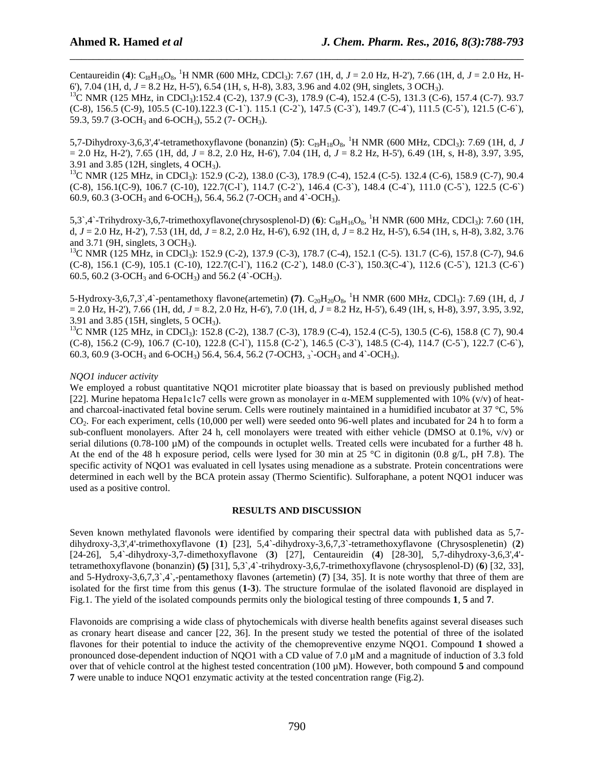Centaureidin (4): C<sub>I8</sub>H<sub>16</sub>O<sub>8</sub>, <sup>1</sup>H NMR (600 MHz, CDCl<sub>3</sub>): 7.67 (1H, d, *J* = 2.0 Hz, H-2'), 7.66 (1H, d, *J* = 2.0 Hz, H-6'), 7.04 (1H, d, *J* = 8.2 Hz, H-5'), 6.54 (1H, s, H-8), 3.83, 3.96 and 4.02 (9H, singlets, 3 OCH3).

\_\_\_\_\_\_\_\_\_\_\_\_\_\_\_\_\_\_\_\_\_\_\_\_\_\_\_\_\_\_\_\_\_\_\_\_\_\_\_\_\_\_\_\_\_\_\_\_\_\_\_\_\_\_\_\_\_\_\_\_\_\_\_\_\_\_\_\_\_\_\_\_\_\_\_\_\_\_

<sup>13</sup>C NMR (125 MHz, in CDCl<sub>3</sub>):152.4 (C-2), 137.9 (C-3), 178.9 (C-4), 152.4 (C-5), 131.3 (C-6), 157.4 (C-7). 93.7 (C-8), 156.5 (C-9), 105.5 (C-10).122.3 (C-1`). 115.1 (C-2`), 147.5 (C-3`), 149.7 (C-4`), 111.5 (C-5`), 121.5 (C-6`), 59.3, 59.7 (3-OCH<sub>3</sub> and 6-OCH<sub>3</sub>), 55.2 (7- OCH<sub>3</sub>).

5,7-Dihydroxy-3,6,3',4'-tetramethoxyflavone (bonanzin) (5):  $C_{19}H_{18}O_8$ , <sup>1</sup>H NMR (600 MHz, CDCl<sub>3</sub>): 7.69 (1H, d, *J* = 2.0 Hz, H-2'), 7.65 (1H, dd, *J* = 8.2, 2.0 Hz, H-6'), 7.04 (1H, d, *J* = 8.2 Hz, H-5'), 6.49 (1H, s, H-8), 3.97, 3.95, 3.91 and 3.85 (12H, singlets, 4 OCH3).

<sup>13</sup>C NMR (125 MHz, in CDCl<sub>3</sub>): 152.9 (C-2), 138.0 (C-3), 178.9 (C-4), 152.4 (C-5). 132.4 (C-6), 158.9 (C-7), 90.4 (C-8), 156.1(C-9), 106.7 (C-10), 122.7(C-l`), 114.7 (C-2`), 146.4 (C-3`), 148.4 (C-4`), 111.0 (C-5`), 122.5 (C-6`) 60.9, 60.3 (3-OCH<sub>3</sub> and 6-OCH<sub>3</sub>), 56.4, 56.2 (7-OCH<sub>3</sub> and 4`-OCH<sub>3</sub>).

5,3`,4`-Trihydroxy-3,6,7-trimethoxyflavone(chrysosplenol-D) (6):  $C_{18}H_{16}O_8$ , <sup>1</sup>H NMR (600 MHz, CDCl<sub>3</sub>): 7.60 (1H, d, *J* = 2.0 Hz, H-2'), 7.53 (1H, dd, *J* = 8.2, 2.0 Hz, H-6'), 6.92 (1H, d, *J* = 8.2 Hz, H-5'), 6.54 (1H, s, H-8), 3.82, 3.76 and 3.71 (9H, singlets, 3 OCH3).

 $^{13}$ C NMR (125 MHz, in CDCl<sub>3</sub>): 152.9 (C-2), 137.9 (C-3), 178.7 (C-4), 152.1 (C-5), 131.7 (C-6), 157.8 (C-7), 94.6 (C-8), 156.1 (C-9), 105.1 (C-10), 122.7(C-l`), 116.2 (C-2`), 148.0 (C-3`), 150.3(C-4`), 112.6 (C-5`), 121.3 (C-6`) 60.5, 60.2 (3-OCH<sub>3</sub> and 6-OCH<sub>3</sub>) and 56.2 (4`-OCH<sub>3</sub>).

5-Hydroxy-3,6,7,3`,4`-pentamethoxy flavone(artemetin) (7).  $C_{20}H_{20}O_8$ , <sup>1</sup>H NMR (600 MHz, CDCl<sub>3</sub>): 7.69 (1H, d, *J* = 2.0 Hz, H-2'), 7.66 (1H, dd, *J* = 8.2, 2.0 Hz, H-6'), 7.0 (1H, d, *J* = 8.2 Hz, H-5'), 6.49 (1H, s, H-8), 3.97, 3.95, 3.92, 3.91 and 3.85 (15H, singlets, 5 OCH3).

<sup>13</sup>C NMR (125 MHz, in CDCl<sub>3</sub>): 152.8 (C-2), 138.7 (C-3), 178.9 (C-4), 152.4 (C-5), 130.5 (C-6), 158.8 (C 7), 90.4 (C-8), 156.2 (C-9), 106.7 (C-10), 122.8 (C-l`), 115.8 (C-2`), 146.5 (C-3`), 148.5 (C-4), 114.7 (C-5`), 122.7 (C-6`), 60.3, 60.9 (3-OCH<sub>3</sub> and 6-OCH<sub>3</sub>) 56.4, 56.4, 56.2 (7-OCH3,  $_3$ <sup>-</sup>OCH<sub>3</sub> and 4<sup>5</sup>-OCH<sub>3</sub>).

## *NQO1 inducer activity*

We employed a robust quantitative NOO1 microtiter plate bioassay that is based on previously published method [22]. Murine hepatoma Hepa1c1c7 cells were grown as monolayer in α-MEM supplemented with 10% (v/v) of heatand charcoal-inactivated fetal bovine serum. Cells were routinely maintained in a humidified incubator at 37 °C, 5% CO2. For each experiment, cells (10,000 per well) were seeded onto 96-well plates and incubated for 24 h to form a sub-confluent monolayers. After 24 h, cell monolayers were treated with either vehicle (DMSO at  $0.1\%$ , v/v) or serial dilutions (0.78-100  $\mu$ M) of the compounds in octuplet wells. Treated cells were incubated for a further 48 h. At the end of the 48 h exposure period, cells were lysed for 30 min at 25 °C in digitonin (0.8 g/L, pH 7.8). The specific activity of NQO1 was evaluated in cell lysates using menadione as a substrate. Protein concentrations were determined in each well by the BCA protein assay (Thermo Scientific). Sulforaphane, a potent NQO1 inducer was used as a positive control.

## **RESULTS AND DISCUSSION**

Seven known methylated flavonols were identified by comparing their spectral data with published data as 5,7 dihydroxy-3,3',4'-trimethoxyflavone (**1**) [23], 5,4`-dihydroxy-3,6,7,3`-tetramethoxyflavone (Chrysosplenetin) (**2**) [24-26], 5,4`-dihydroxy-3,7-dimethoxyflavone (**3**) [27], Centaureidin (**4**) [28-30], 5,7-dihydroxy-3,6,3',4' tetramethoxyflavone (bonanzin) **(5)** [31], 5,3`,4`-trihydroxy-3,6,7-trimethoxyflavone (chrysosplenol-D) (**6**) [32, 33], and 5-Hydroxy-3,6,7,3`,4`,-pentamethoxy flavones (artemetin) (**7**) [34, 35]. It is note worthy that three of them are isolated for the first time from this genus (**1-3**). The structure formulae of the isolated flavonoid are displayed in Fig.1. The yield of the isolated compounds permits only the biological testing of three compounds **1**, **5** and **7**.

Flavonoids are comprising a wide class of phytochemicals with diverse health benefits against several diseases such as cronary heart disease and cancer [22, 36]. In the present study we tested the potential of three of the isolated flavones for their potential to induce the activity of the chemopreventive enzyme NQO1. Compound **1** showed a pronounced dose-dependent induction of NQO1 with a CD value of 7.0 µM and a magnitude of induction of 3.3 fold over that of vehicle control at the highest tested concentration (100 µM). However, both compound **5** and compound **7** were unable to induce NQO1 enzymatic activity at the tested concentration range (Fig.2).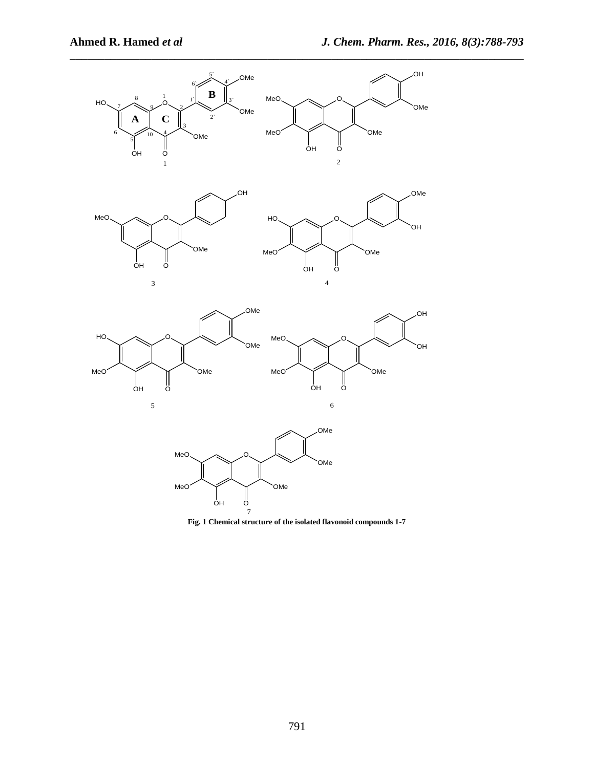

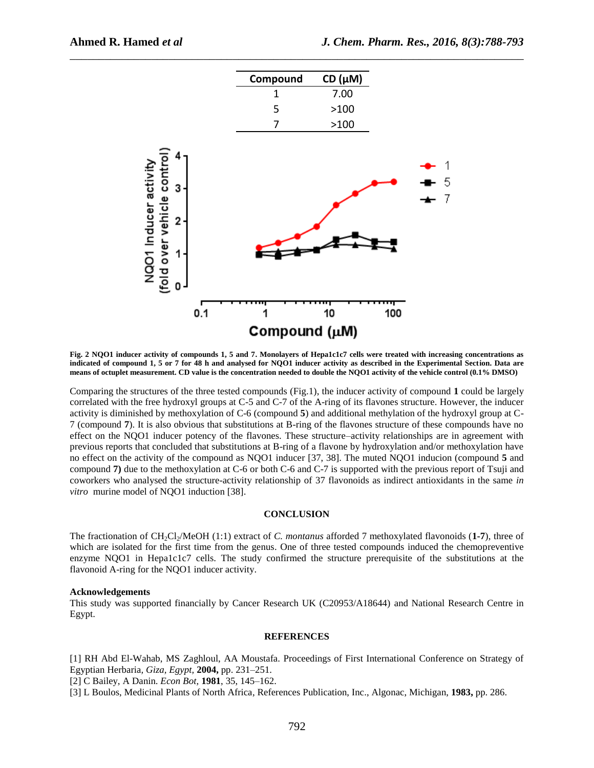

**Fig. 2 NQO1 inducer activity of compounds 1, 5 and 7. Monolayers of Hepa1c1c7 cells were treated with increasing concentrations as indicated of compound 1, 5 or 7 for 48 h and analysed for NQO1 inducer activity as described in the Experimental Section. Data are means of octuplet measurement. CD value is the concentration needed to double the NQO1 activity of the vehicle control (0.1% DMSO)**

Comparing the structures of the three tested compounds (Fig.1), the inducer activity of compound **1** could be largely correlated with the free hydroxyl groups at C-5 and C-7 of the A-ring of its flavones structure. However, the inducer activity is diminished by methoxylation of C-6 (compound **5**) and additional methylation of the hydroxyl group at C-7 (compound **7**). It is also obvious that substitutions at B-ring of the flavones structure of these compounds have no effect on the NQO1 inducer potency of the flavones. These structure–activity relationships are in agreement with previous reports that concluded that substitutions at B-ring of a flavone by hydroxylation and/or methoxylation have no effect on the activity of the compound as NQO1 inducer [37, 38]. The muted NQO1 inducion (compound **5** and compound **7)** due to the methoxylation at C-6 or both C-6 and C-7 is supported with the previous report of Tsuji and coworkers who analysed the structure-activity relationship of 37 flavonoids as indirect antioxidants in the same *in vitro* murine model of NQO1 induction [38].

#### **CONCLUSION**

The fractionation of CH2Cl2/MeOH (1:1) extract of *C. montanus* afforded 7 methoxylated flavonoids (**1-7**), three of which are isolated for the first time from the genus. One of three tested compounds induced the chemopreventive enzyme NQO1 in Hepa1c1c7 cells. The study confirmed the structure prerequisite of the substitutions at the flavonoid A-ring for the NQO1 inducer activity.

## **Acknowledgements**

This study was supported financially by Cancer Research UK (C20953/A18644) and National Research Centre in Egypt.

#### **REFERENCES**

[1] RH Abd El-Wahab, MS Zaghloul, AA Moustafa. Proceedings of First International Conference on Strategy of Egyptian Herbaria*, Giza, Egypt,* **2004,** pp. 231–251.

[2] C Bailey, A Danin. *Econ Bot,* **1981**, 35, 145–162.

[3] L Boulos, Medicinal Plants of North Africa, References Publication, Inc., Algonac, Michigan, **1983,** pp. 286.